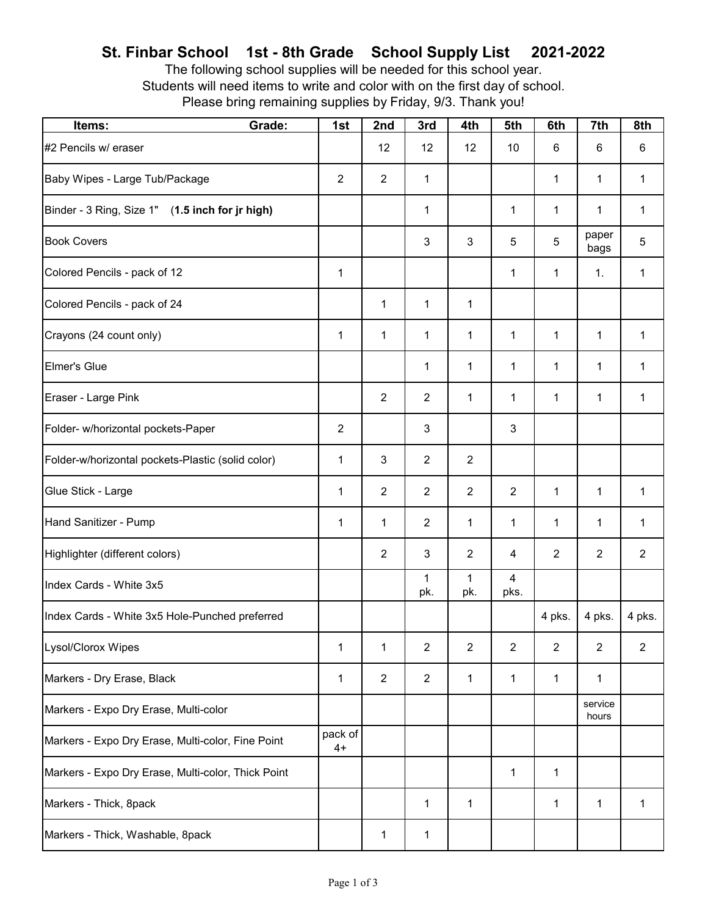## **St. Finbar School 1st - 8th Grade School Supply List 2021-2022**

The following school supplies will be needed for this school year. Students will need items to write and color with on the first day of school. Please bring remaining supplies by Friday, 9/3. Thank you!

| Items:                                             | Grade: | 1st             | 2nd            | 3rd            | 4th            | 5th                    | 6th            | 7th              | 8th            |
|----------------------------------------------------|--------|-----------------|----------------|----------------|----------------|------------------------|----------------|------------------|----------------|
| #2 Pencils w/ eraser                               |        |                 | 12             | 12             | 12             | 10                     | 6              | 6                | 6              |
| Baby Wipes - Large Tub/Package                     |        | $\overline{2}$  | $\overline{2}$ | $\mathbf{1}$   |                |                        | 1              | 1                | $\mathbf{1}$   |
| Binder - 3 Ring, Size 1" (1.5 inch for jr high)    |        |                 |                | 1              |                | 1                      | 1              | 1                | 1              |
| <b>Book Covers</b>                                 |        |                 |                | 3              | 3              | 5                      | 5              | paper<br>bags    | 5              |
| Colored Pencils - pack of 12                       |        | $\mathbf{1}$    |                |                |                | 1                      | $\mathbf{1}$   | 1.               | $\mathbf{1}$   |
| Colored Pencils - pack of 24                       |        |                 | 1              | $\mathbf{1}$   | 1              |                        |                |                  |                |
| Crayons (24 count only)                            |        | $\mathbf{1}$    | $\mathbf{1}$   | 1              | 1              | 1                      | 1              | $\mathbf{1}$     | 1              |
| <b>Elmer's Glue</b>                                |        |                 |                | $\mathbf{1}$   | 1              | 1                      | 1              | 1                | 1              |
| Eraser - Large Pink                                |        |                 | $\overline{2}$ | $\overline{2}$ | $\mathbf{1}$   | $\mathbf{1}$           | 1              | 1                | 1              |
| Folder- w/horizontal pockets-Paper                 |        | $\overline{2}$  |                | 3              |                | 3                      |                |                  |                |
| Folder-w/horizontal pockets-Plastic (solid color)  |        | $\mathbf{1}$    | 3              | $\overline{2}$ | $\overline{2}$ |                        |                |                  |                |
| Glue Stick - Large                                 |        | $\mathbf{1}$    | $\overline{2}$ | $\overline{2}$ | $\overline{2}$ | $\overline{2}$         | $\mathbf{1}$   | $\mathbf{1}$     | 1              |
| Hand Sanitizer - Pump                              |        | $\mathbf{1}$    | $\mathbf 1$    | $\overline{2}$ | 1              | 1                      | 1              | 1                | $\mathbf{1}$   |
| Highlighter (different colors)                     |        |                 | $\overline{2}$ | 3              | $\overline{2}$ | 4                      | $\overline{2}$ | $\overline{2}$   | $\overline{2}$ |
| Index Cards - White 3x5                            |        |                 |                | 1<br>pk.       | 1<br>pk.       | $\overline{4}$<br>pks. |                |                  |                |
| Index Cards - White 3x5 Hole-Punched preferred     |        |                 |                |                |                |                        | 4 pks.         | 4 pks.           | 4 pks.         |
| <b>Lysol/Clorox Wipes</b>                          |        | $\mathbf{1}$    | 1              | $\overline{2}$ | $\overline{2}$ | $\overline{2}$         | $\overline{2}$ | $\overline{2}$   | $\overline{2}$ |
| Markers - Dry Erase, Black                         |        | $\mathbf{1}$    | $\overline{2}$ | $\overline{2}$ | 1              | $\mathbf{1}$           | 1              | 1                |                |
| Markers - Expo Dry Erase, Multi-color              |        |                 |                |                |                |                        |                | service<br>hours |                |
| Markers - Expo Dry Erase, Multi-color, Fine Point  |        | pack of<br>$4+$ |                |                |                |                        |                |                  |                |
| Markers - Expo Dry Erase, Multi-color, Thick Point |        |                 |                |                |                | $\mathbf{1}$           | 1              |                  |                |
| Markers - Thick, 8pack                             |        |                 |                | 1              | 1              |                        | 1              | 1                | 1              |
| Markers - Thick, Washable, 8pack                   |        |                 | 1              | 1              |                |                        |                |                  |                |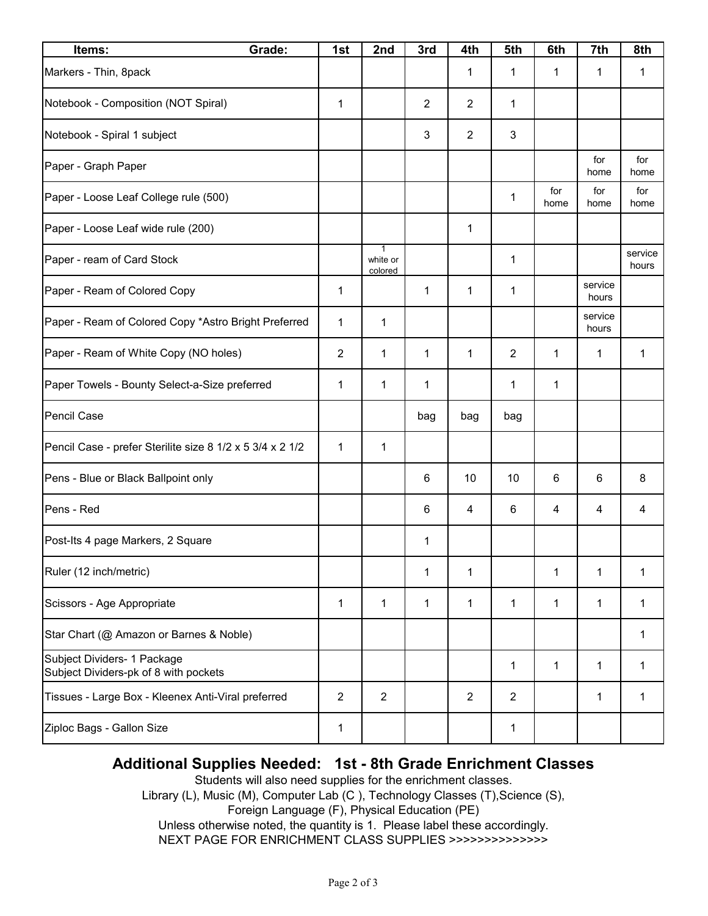| Grade:<br>Items:                                                     | 1st            | 2nd                 | 3rd            | 4th            | 5th            | 6th         | 7th              | 8th              |
|----------------------------------------------------------------------|----------------|---------------------|----------------|----------------|----------------|-------------|------------------|------------------|
| Markers - Thin, 8pack                                                |                |                     |                | 1              | 1              | 1           | 1                | 1                |
| Notebook - Composition (NOT Spiral)                                  | 1              |                     | $\overline{2}$ | 2              | 1              |             |                  |                  |
| Notebook - Spiral 1 subject                                          |                |                     | 3              | 2              | 3              |             |                  |                  |
| Paper - Graph Paper                                                  |                |                     |                |                |                |             | for<br>home      | for<br>home      |
| Paper - Loose Leaf College rule (500)                                |                |                     |                |                | 1              | for<br>home | for<br>home      | for<br>home      |
| Paper - Loose Leaf wide rule (200)                                   |                |                     |                | 1              |                |             |                  |                  |
| Paper - ream of Card Stock                                           |                | white or<br>colored |                |                | 1              |             |                  | service<br>hours |
| Paper - Ream of Colored Copy                                         | 1              |                     | 1              | 1              | 1              |             | service<br>hours |                  |
| Paper - Ream of Colored Copy *Astro Bright Preferred                 | 1              | 1                   |                |                |                |             | service<br>hours |                  |
| Paper - Ream of White Copy (NO holes)                                | $\overline{2}$ | 1                   | 1              | 1              | $\overline{2}$ | 1           | 1                | 1                |
| Paper Towels - Bounty Select-a-Size preferred                        | 1              | 1                   | 1              |                | 1              | 1           |                  |                  |
| Pencil Case                                                          |                |                     | bag            | bag            | bag            |             |                  |                  |
| Pencil Case - prefer Sterilite size 8 1/2 x 5 3/4 x 2 1/2            | 1              | 1                   |                |                |                |             |                  |                  |
| Pens - Blue or Black Ballpoint only                                  |                |                     | 6              | 10             | 10             | 6           | 6                | 8                |
| Pens - Red                                                           |                |                     | 6              | 4              | 6              | 4           | 4                | 4                |
| Post-Its 4 page Markers, 2 Square                                    |                |                     | 1              |                |                |             |                  |                  |
| Ruler (12 inch/metric)                                               |                |                     | $\mathbf{1}$   | 1              |                | 1           | 1                | 1                |
| Scissors - Age Appropriate                                           | 1              | 1                   | 1              | 1              | $\mathbf{1}$   | 1           | 1                | 1                |
| Star Chart (@ Amazon or Barnes & Noble)                              |                |                     |                |                |                |             |                  | $\mathbf{1}$     |
| Subject Dividers- 1 Package<br>Subject Dividers-pk of 8 with pockets |                |                     |                |                | $\mathbf{1}$   | 1           | 1                | 1                |
| Tissues - Large Box - Kleenex Anti-Viral preferred                   | $\overline{2}$ | $\overline{2}$      |                | $\overline{2}$ | $\overline{2}$ |             | 1                | $\mathbf{1}$     |
| Ziploc Bags - Gallon Size                                            | 1              |                     |                |                | 1              |             |                  |                  |

## **Additional Supplies Needed: 1st - 8th Grade Enrichment Classes**

Students will also need supplies for the enrichment classes. Library (L), Music (M), Computer Lab (C ), Technology Classes (T),Science (S), Foreign Language (F), Physical Education (PE) Unless otherwise noted, the quantity is 1. Please label these accordingly. NEXT PAGE FOR ENRICHMENT CLASS SUPPLIES >>>>>>>>>>>>>>